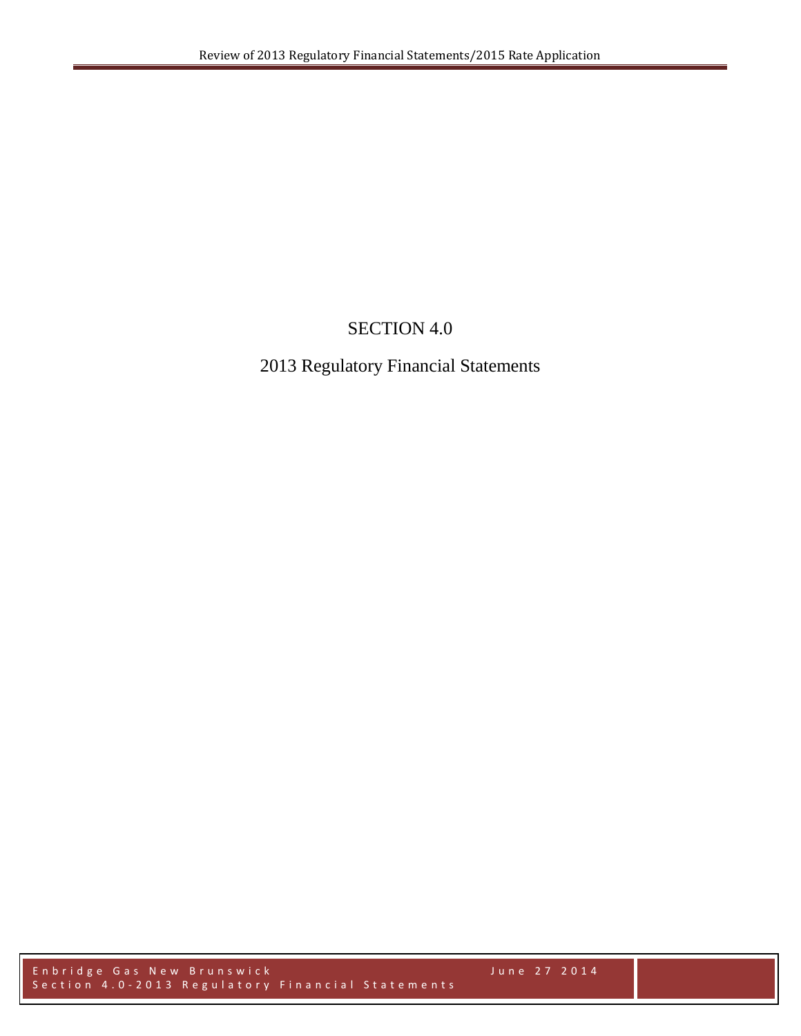# SECTION 4.0

## 2013 Regulatory Financial Statements

Enbridge Gas New Brunswick June 2 7 2014 Section 4.0-2013 Regulatory Financial Statements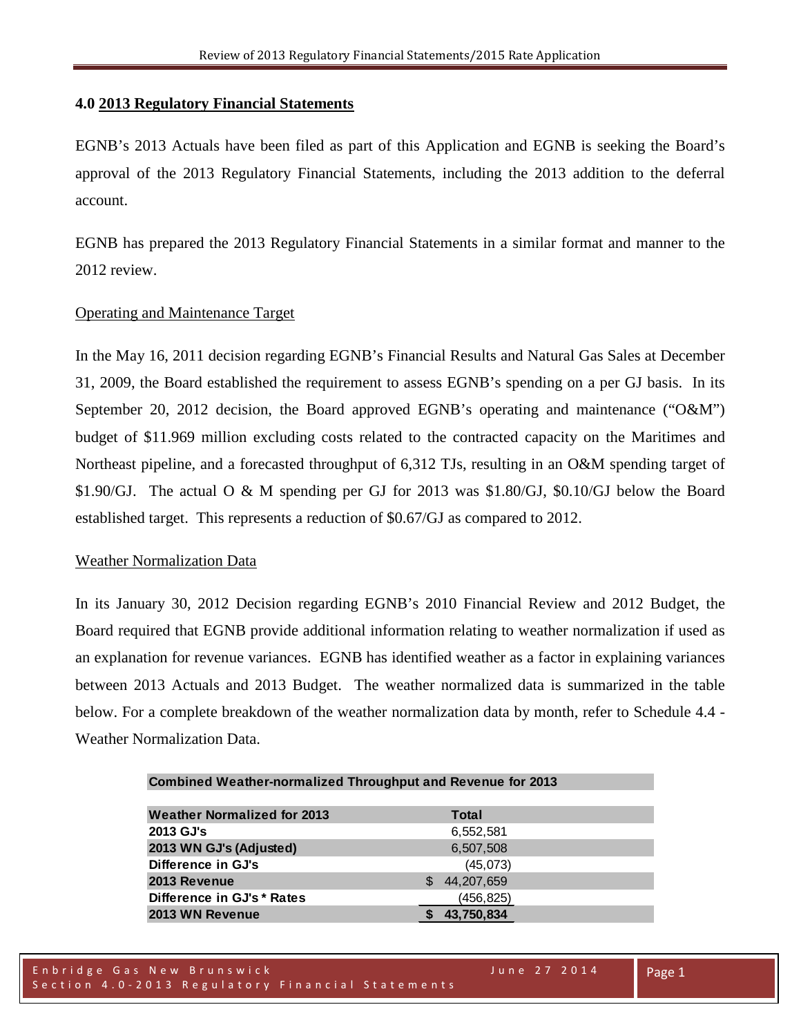#### **4.0 2013 Regulatory Financial Statements**

EGNB's 2013 Actuals have been filed as part of this Application and EGNB is seeking the Board's approval of the 2013 Regulatory Financial Statements, including the 2013 addition to the deferral account.

EGNB has prepared the 2013 Regulatory Financial Statements in a similar format and manner to the 2012 review.

### Operating and Maintenance Target

In the May 16, 2011 decision regarding EGNB's Financial Results and Natural Gas Sales at December 31, 2009, the Board established the requirement to assess EGNB's spending on a per GJ basis. In its September 20, 2012 decision, the Board approved EGNB's operating and maintenance ("O&M") budget of \$11.969 million excluding costs related to the contracted capacity on the Maritimes and Northeast pipeline, and a forecasted throughput of 6,312 TJs, resulting in an O&M spending target of \$1.90/GJ. The actual O & M spending per GJ for 2013 was \$1.80/GJ, \$0.10/GJ below the Board established target. This represents a reduction of \$0.67/GJ as compared to 2012.

#### Weather Normalization Data

In its January 30, 2012 Decision regarding EGNB's 2010 Financial Review and 2012 Budget, the Board required that EGNB provide additional information relating to weather normalization if used as an explanation for revenue variances. EGNB has identified weather as a factor in explaining variances between 2013 Actuals and 2013 Budget. The weather normalized data is summarized in the table below. For a complete breakdown of the weather normalization data by month, refer to Schedule 4.4 - Weather Normalization Data.

| <b>Combined Weather-normalized Throughput and Revenue for 2013</b> |  |            |  |
|--------------------------------------------------------------------|--|------------|--|
|                                                                    |  |            |  |
| <b>Weather Normalized for 2013</b>                                 |  | Total      |  |
| 2013 GJ's                                                          |  | 6,552,581  |  |
| 2013 WN GJ's (Adjusted)                                            |  | 6,507,508  |  |
| Difference in GJ's                                                 |  | (45,073)   |  |
| 2013 Revenue                                                       |  | 44,207,659 |  |
| Difference in GJ's * Rates                                         |  | (456, 825) |  |
| 2013 WN Revenue                                                    |  | 43,750,834 |  |